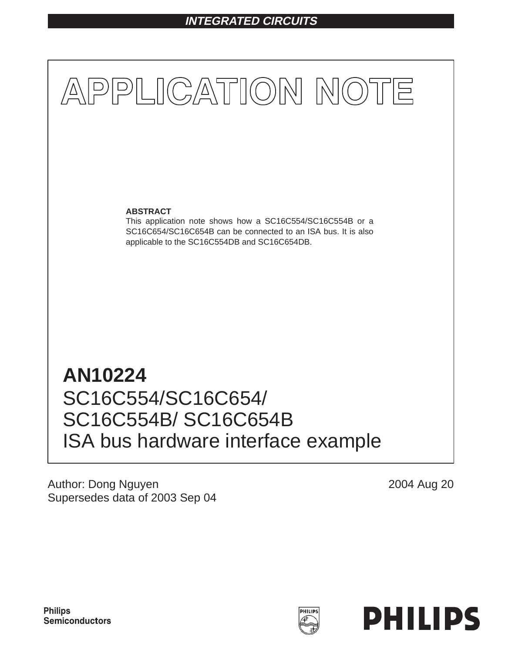# **INTEGRATED CIRCUITS**



ISA bus hardware interface example

Author: Dong Nguyen Supersedes data of 2003 Sep 04 2004 Aug 20

![](_page_0_Picture_5.jpeg)

![](_page_0_Picture_6.jpeg)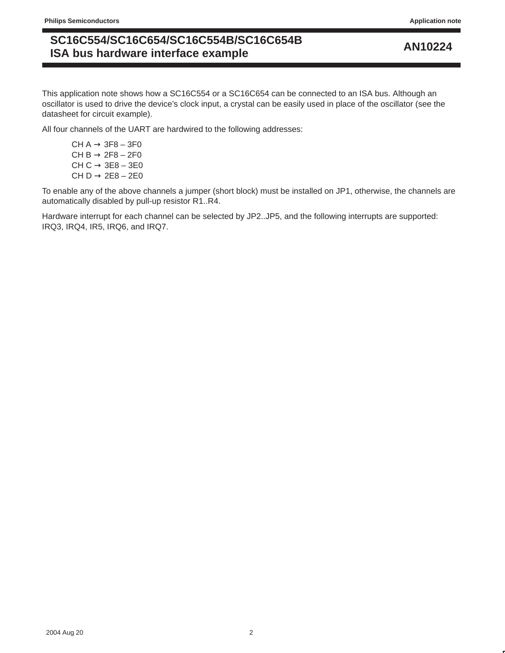# **AN10224 SC16C554/SC16C654/SC16C554B/SC16C654B ISA bus hardware interface example**

This application note shows how a SC16C554 or a SC16C654 can be connected to an ISA bus. Although an oscillator is used to drive the device's clock input, a crystal can be easily used in place of the oscillator (see the datasheet for circuit example).

All four channels of the UART are hardwired to the following addresses:

CH  $A \rightarrow 3F8 - 3F0$ CH B  $\rightarrow$  2F8 – 2F0 CH  $C \rightarrow 3E8 - 3E0$ CH D  $\rightarrow$  2E8 – 2E0

To enable any of the above channels a jumper (short block) must be installed on JP1, otherwise, the channels are automatically disabled by pull-up resistor R1..R4.

Hardware interrupt for each channel can be selected by JP2..JP5, and the following interrupts are supported: IRQ3, IRQ4, IR5, IRQ6, and IRQ7.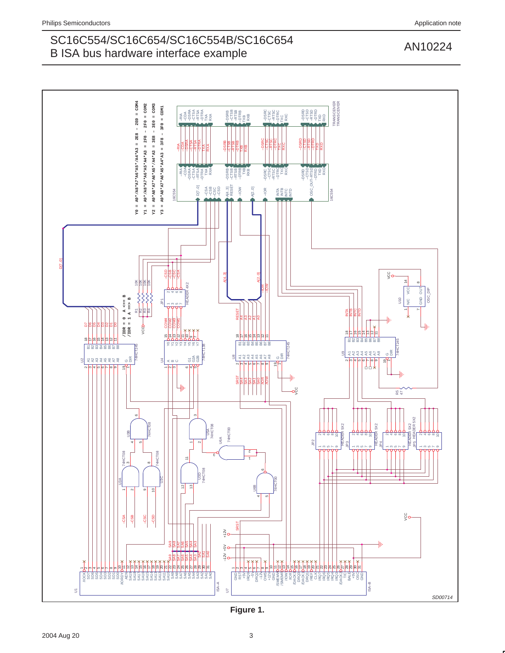# SC16C554/SC16C654/SC16C554B/SC16C654<br>
AN10224 B ISA bus hardware interface example

![](_page_2_Figure_2.jpeg)

**Figure 1.**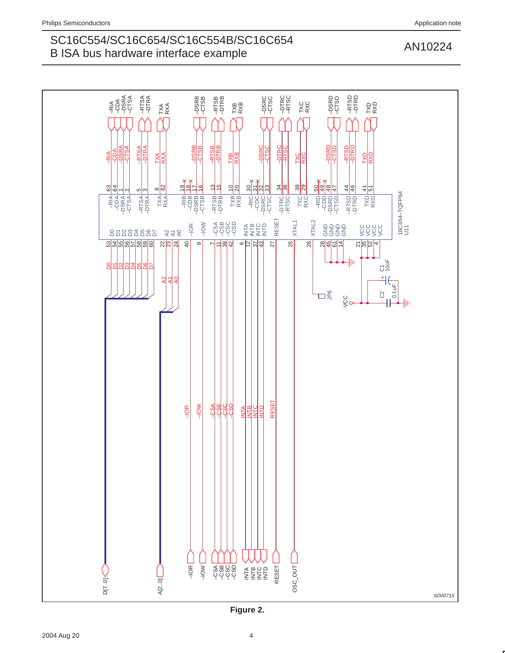# SC16C554/SC16C654/SC16C554B/SC16C654<br>
AN10224 B ISA bus hardware interface example

![](_page_3_Figure_2.jpeg)

**Figure 2.**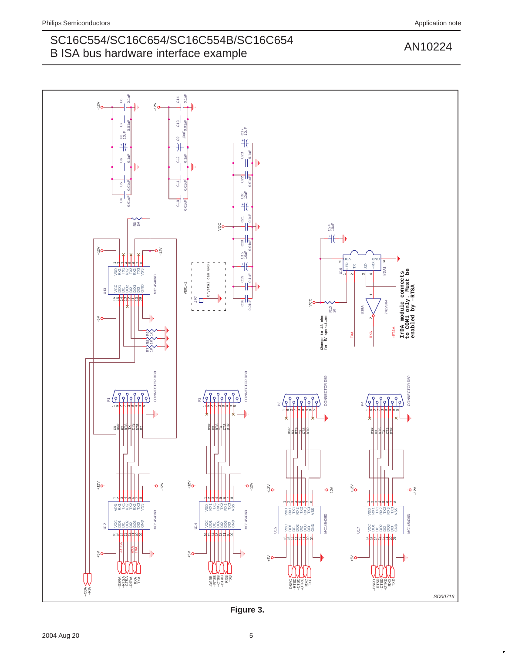# SC16C554/SC16C654/SC16C554B/SC16C654<br>
AN10224 B ISA bus hardware interface example

![](_page_4_Figure_4.jpeg)

**Figure 3.**